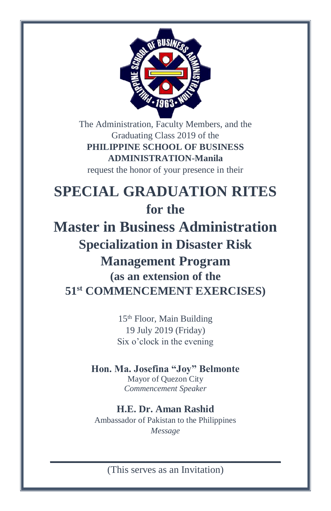

The Administration, Faculty Members, and the Graduating Class 2019 of the **PHILIPPINE SCHOOL OF BUSINESS ADMINISTRATION-Manila** request the honor of your presence in their

# **SPECIAL GRADUATION RITES for the**

**Master in Business Administration Specialization in Disaster Risk Management Program (as an extension of the 51st COMMENCEMENT EXERCISES)**

> 15th Floor, Main Building 19 July 2019 (Friday) Six o'clock in the evening

#### **Hon. Ma. Josefina "Joy" Belmonte** Mayor of Quezon City

*Commencement Speaker*

# **H.E. Dr. Aman Rashid**

Ambassador of Pakistan to the Philippines *Message*

**\_\_\_\_\_\_\_\_\_\_\_\_\_\_\_\_\_\_\_\_\_\_\_\_\_\_\_\_\_\_\_\_\_\_\_\_\_\_\_\_\_\_\_\_\_\_** (This serves as an Invitation)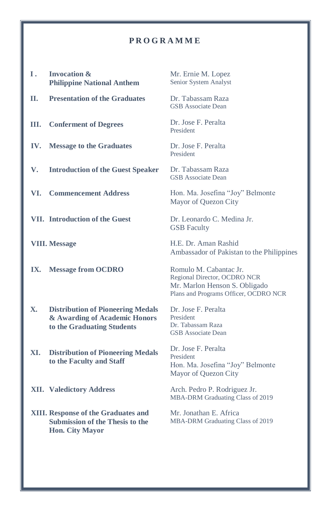#### **P R O G R A M M E**

| Ι.  | <b>Invocation &amp;</b><br><b>Philippine National Anthem</b>                                                   | Mr. Ernie M. Lopez<br>Senior System Analyst                                                                                      |
|-----|----------------------------------------------------------------------------------------------------------------|----------------------------------------------------------------------------------------------------------------------------------|
| П.  | <b>Presentation of the Graduates</b>                                                                           | Dr. Tabassam Raza<br><b>GSB</b> Associate Dean                                                                                   |
| Ш.  | <b>Conferment of Degrees</b>                                                                                   | Dr. Jose F. Peralta<br>President                                                                                                 |
| IV. | <b>Message to the Graduates</b>                                                                                | Dr. Jose F. Peralta<br>President                                                                                                 |
| V.  | <b>Introduction of the Guest Speaker</b>                                                                       | Dr. Tabassam Raza<br><b>GSB</b> Associate Dean                                                                                   |
| VI. | <b>Commencement Address</b>                                                                                    | Hon. Ma. Josefina "Joy" Belmonte<br>Mayor of Quezon City                                                                         |
|     | <b>VII.</b> Introduction of the Guest                                                                          | Dr. Leonardo C. Medina Jr.<br><b>GSB</b> Faculty                                                                                 |
|     | <b>VIII.</b> Message                                                                                           | H.E. Dr. Aman Rashid<br>Ambassador of Pakistan to the Philippines                                                                |
| IX. | <b>Message from OCDRO</b>                                                                                      | Romulo M. Cabantac Jr.<br>Regional Director, OCDRO NCR<br>Mr. Marlon Henson S. Obligado<br>Plans and Programs Officer, OCDRO NCR |
| Х.  | <b>Distribution of Pioneering Medals</b><br>& Awarding of Academic Honors<br>to the Graduating Students        | Dr. Jose F. Peralta<br>President<br>Dr. Tabassam Raza<br><b>GSB</b> Associate Dean                                               |
| XI. | <b>Distribution of Pioneering Medals</b><br>to the Faculty and Staff                                           | Dr. Jose F. Peralta<br>President<br>Hon. Ma. Josefina "Joy" Belmonte<br>Mayor of Quezon City                                     |
|     | <b>XII.</b> Valedictory Address                                                                                | Arch. Pedro P. Rodriguez Jr.<br>MBA-DRM Graduating Class of 2019                                                                 |
|     | <b>XIII.</b> Response of the Graduates and<br><b>Submission of the Thesis to the</b><br><b>Hon. City Mayor</b> | Mr. Jonathan E. Africa<br>MBA-DRM Graduating Class of 2019                                                                       |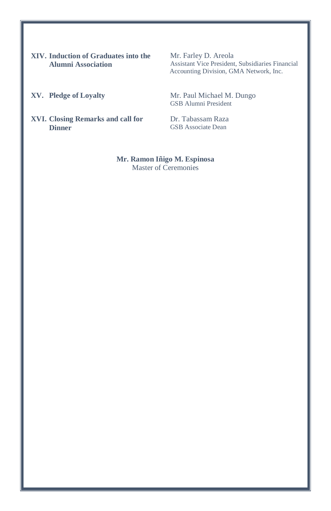**XIV. Induction of Graduates into the Alumni Association**

Mr. Farley D. Areola Assistant Vice President, Subsidiaries Financial Accounting Division, GMA Network, Inc.

XV. Pledge of Loyalty Mr. Paul Michael M. Dungo GSB Alumni President

**XVI. Closing Remarks and call for**  Dr. Tabassam Raza **Dinner**

GSB Associate Dean

**Mr. Ramon Iñigo M. Espinosa** Master of Ceremonies